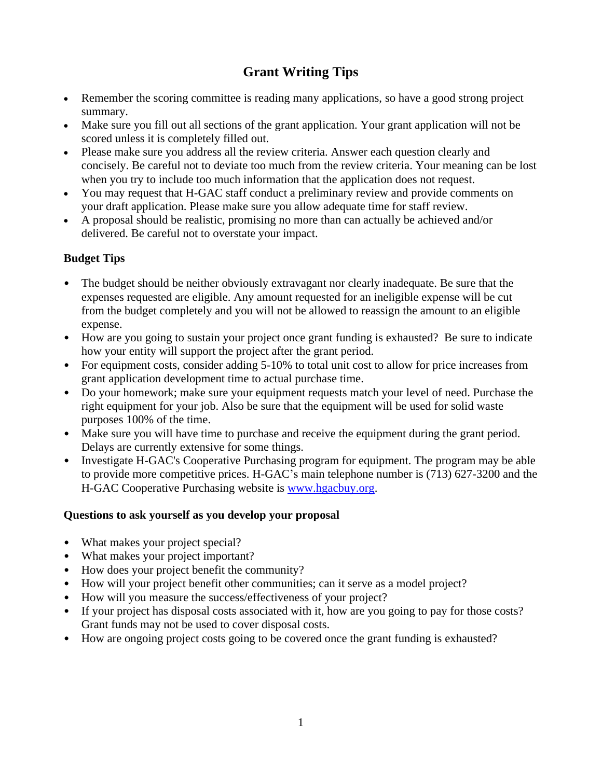# **Grant Writing Tips**

- Remember the scoring committee is reading many applications, so have a good strong project summary.
- Make sure you fill out all sections of the grant application. Your grant application will not be scored unless it is completely filled out.
- Please make sure you address all the review criteria. Answer each question clearly and concisely. Be careful not to deviate too much from the review criteria. Your meaning can be lost when you try to include too much information that the application does not request.
- You may request that H-GAC staff conduct a preliminary review and provide comments on your draft application. Please make sure you allow adequate time for staff review.
- A proposal should be realistic, promising no more than can actually be achieved and/or delivered. Be careful not to overstate your impact.

# **Budget Tips**

- The budget should be neither obviously extravagant nor clearly inadequate. Be sure that the expenses requested are eligible. Any amount requested for an ineligible expense will be cut from the budget completely and you will not be allowed to reassign the amount to an eligible expense.
- How are you going to sustain your project once grant funding is exhausted? Be sure to indicate how your entity will support the project after the grant period.
- For equipment costs, consider adding 5-10% to total unit cost to allow for price increases from grant application development time to actual purchase time.
- Do your homework; make sure your equipment requests match your level of need. Purchase the right equipment for your job. Also be sure that the equipment will be used for solid waste purposes 100% of the time.
- Make sure you will have time to purchase and receive the equipment during the grant period. Delays are currently extensive for some things.
- Investigate H-GAC's Cooperative Purchasing program for equipment. The program may be able to provide more competitive prices. H-GAC's main telephone number is (713) 627-3200 and the H-GAC Cooperative Purchasing website is [www.hgacbuy.org.](http://www.hgacbuy.org/)

### **Questions to ask yourself as you develop your proposal**

- What makes your project special?
- What makes your project important?
- How does your project benefit the community?
- How will your project benefit other communities; can it serve as a model project?
- How will you measure the success/effectiveness of your project?
- If your project has disposal costs associated with it, how are you going to pay for those costs? Grant funds may not be used to cover disposal costs.
- How are ongoing project costs going to be covered once the grant funding is exhausted?